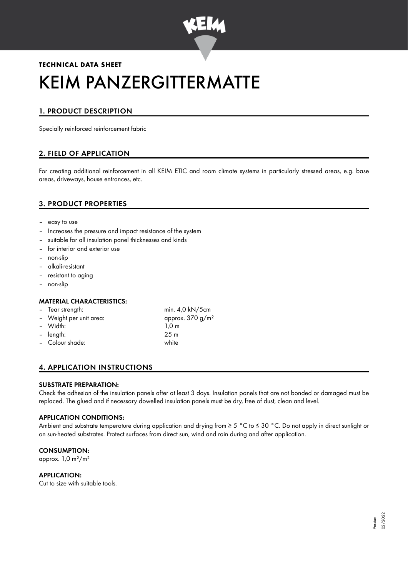

# **TECHNICAL DATA SHEET** KEIM PANZERGITTERMATTE

# 1. PRODUCT DESCRIPTION

Specially reinforced reinforcement fabric

# 2. FIELD OF APPLICATION

For creating additional reinforcement in all KEIM ETIC and room climate systems in particularly stressed areas, e.g. base areas, driveways, house entrances, etc.

## 3. PRODUCT PROPERTIES

- easy to use
- Increases the pressure and impact resistance of the system
- suitable for all insulation panel thicknesses and kinds
- for interior and exterior use
- non-slip
- alkali-resistant
- resistant to aging
- non-slip

#### MATERIAL CHARACTERISTICS:

| - Tear strength:        | min. $4.0 \text{ kN}/5 \text{cm}$ |  |
|-------------------------|-----------------------------------|--|
| - Weight per unit area: | approx. $370 g/m^2$               |  |
| - Width:                | 1.0 <sub>m</sub>                  |  |
| - length:               | 25 <sub>m</sub>                   |  |
| - Colour shade:         | white                             |  |
|                         |                                   |  |

# 4. APPLICATION INSTRUCTIONS

#### SUBSTRATE PREPARATION:

Check the adhesion of the insulation panels after at least 3 days. Insulation panels that are not bonded or damaged must be replaced. The glued and if necessary dowelled insulation panels must be dry, free of dust, clean and level.

#### APPLICATION CONDITIONS:

Ambient and substrate temperature during application and drying from ≥ 5 °C to ≤ 30 °C. Do not apply in direct sunlight or on sun-heated substrates. Protect surfaces from direct sun, wind and rain during and after application.

#### CONSUMPTION:

approx.  $1,0$  m<sup>2</sup>/m<sup>2</sup>

#### APPLICATION:

Cut to size with suitable tools.